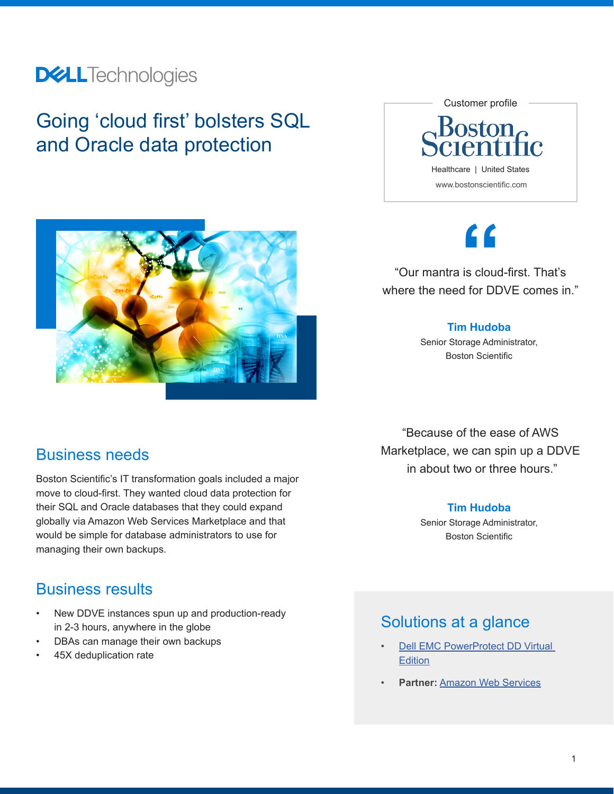## **DELL**Technologies

## Going 'cloud first' bolsters SQL and Oracle data protection



## **"**

"Our mantra is cloud-first. That's where the need for DDVE comes in."

#### **Tim Hudoba**

Senior Storage Administrator, Boston Scientific

Business needs

Boston Scientific's IT transformation goals included a major move to cloud-first. They wanted cloud data protection for their SQL and Oracle databases that they could expand globally via Amazon Web Services Marketplace and that would be simple for database administrators to use for managing their own backups.

## Business results

- New DDVE instances spun up and production-ready in 2-3 hours, anywhere in the globe
- DBAs can manage their own backups
- 45X deduplication rate

"Because of the ease of AWS Marketplace, we can spin up a DDVE in about two or three hours."

### **Tim Hudoba**

Senior Storage Administrator, Boston Scientific

## Solutions at a glance

- **Dell EMC PowerProtect DD Virtual [Edition](https://www.delltechnologies.com/en-us/data-protection/powerprotect-backup-dd-appliances/powerprotect-dd-backup-appliances.htm)**
- **Partner:** [Amazon Web Services](https://www.delltechnologies.com/en-us/data-protection/aws.htm)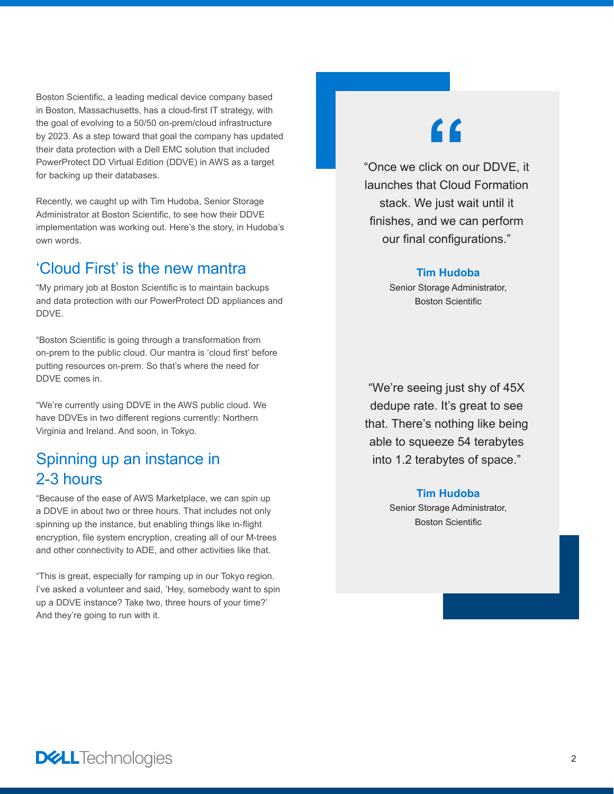Boston Scientific, a leading medical device company based in Boston, Massachusetts, has a cloud-first IT strategy, with the goal of evolving to a 50/50 on-prem/cloud infrastructure by 2023. As a step toward that goal the company has updated their data protection with a Dell EMC solution that included PowerProtect DD Virtual Edition (DDVE) in AWS as a target for backing up their databases.

Recently, we caught up with Tim Hudoba, Senior Storage Administrator at Boston Scientific, to see how their DDVE implementation was working out. Here's the story, in Hudoba's own words.

## 'Cloud First' is the new mantra

"My primary job at Boston Scientific is to maintain backups and data protection with our PowerProtect DD appliances and DDVE.

"Boston Scientific is going through a transformation from on-prem to the public cloud. Our mantra is 'cloud first' before putting resources on-prem. So that's where the need for DDVE comes in.

"We're currently using DDVE in the AWS public cloud. We have DDVEs in two different regions currently: Northern Virginia and Ireland. And soon, in Tokyo.

## Spinning up an instance in 2-3 hours

"Because of the ease of AWS Marketplace, we can spin up a DDVE in about two or three hours. That includes not only spinning up the instance, but enabling things like in-flight encryption, file system encryption, creating all of our M-trees and other connectivity to ADE, and other activities like that.

"This is great, especially for ramping up in our Tokyo region. I've asked a volunteer and said, 'Hey, somebody want to spin up a DDVE instance? Take two, three hours of your time?' And they're going to run with it.

# **"**

"Once we click on our DDVE, it launches that Cloud Formation stack. We just wait until it finishes, and we can perform our final configurations."

#### **Tim Hudoba**

Senior Storage Administrator, Boston Scientific

"We're seeing just shy of 45X dedupe rate. It's great to see that. There's nothing like being able to squeeze 54 terabytes into 1.2 terabytes of space."

#### **Tim Hudoba**

Senior Storage Administrator, Boston Scientific